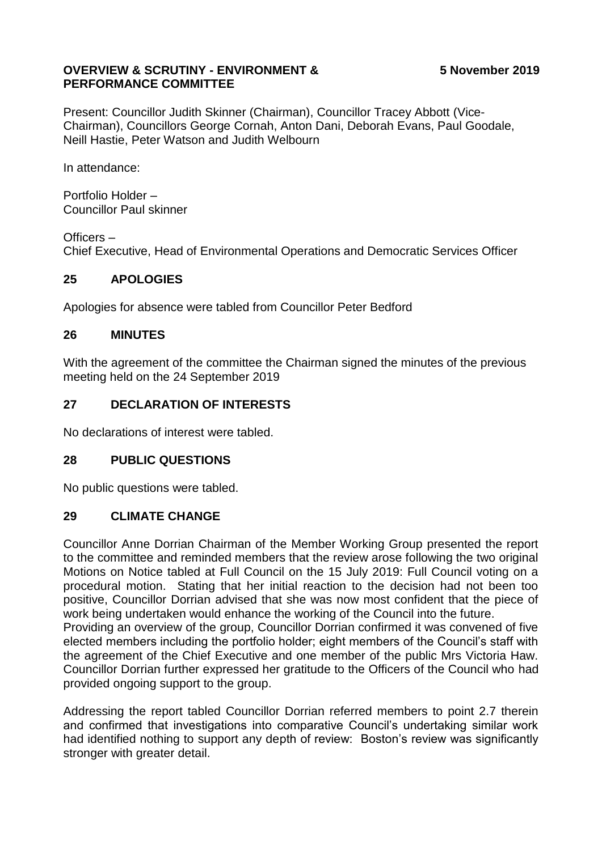### **OVERVIEW & SCRUTINY - ENVIRONMENT & PERFORMANCE COMMITTEE**

Present: Councillor Judith Skinner (Chairman), Councillor Tracey Abbott (Vice-Chairman), Councillors George Cornah, Anton Dani, Deborah Evans, Paul Goodale, Neill Hastie, Peter Watson and Judith Welbourn

In attendance:

Portfolio Holder – Councillor Paul skinner

Officers – Chief Executive, Head of Environmental Operations and Democratic Services Officer

# **25 APOLOGIES**

Apologies for absence were tabled from Councillor Peter Bedford

### **26 MINUTES**

With the agreement of the committee the Chairman signed the minutes of the previous meeting held on the 24 September 2019

# **27 DECLARATION OF INTERESTS**

No declarations of interest were tabled.

### **28 PUBLIC QUESTIONS**

No public questions were tabled.

### **29 CLIMATE CHANGE**

Councillor Anne Dorrian Chairman of the Member Working Group presented the report to the committee and reminded members that the review arose following the two original Motions on Notice tabled at Full Council on the 15 July 2019: Full Council voting on a procedural motion. Stating that her initial reaction to the decision had not been too positive, Councillor Dorrian advised that she was now most confident that the piece of work being undertaken would enhance the working of the Council into the future. Providing an overview of the group, Councillor Dorrian confirmed it was convened of five elected members including the portfolio holder; eight members of the Council's staff with the agreement of the Chief Executive and one member of the public Mrs Victoria Haw. Councillor Dorrian further expressed her gratitude to the Officers of the Council who had

provided ongoing support to the group.

Addressing the report tabled Councillor Dorrian referred members to point 2.7 therein and confirmed that investigations into comparative Council's undertaking similar work had identified nothing to support any depth of review: Boston's review was significantly stronger with greater detail.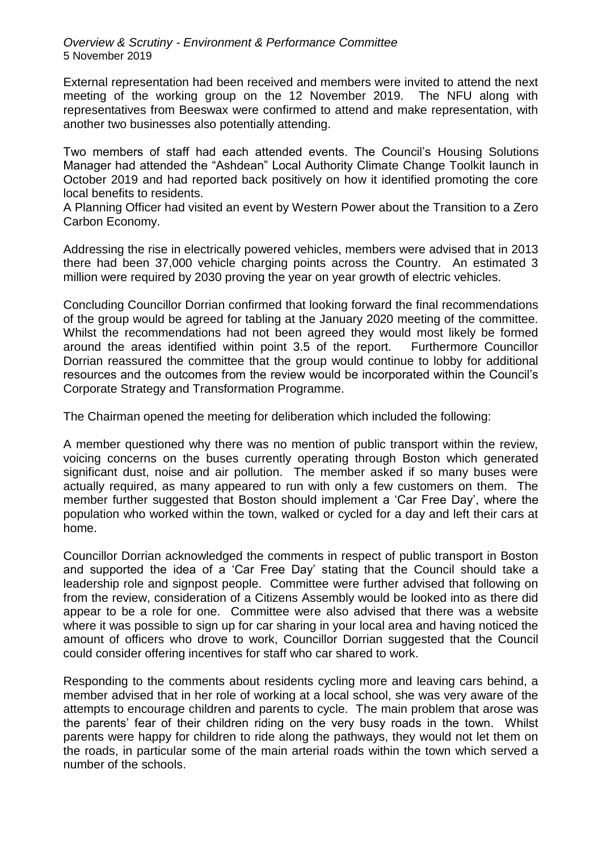*Overview & Scrutiny - Environment & Performance Committee* 5 November 2019

External representation had been received and members were invited to attend the next meeting of the working group on the 12 November 2019. The NFU along with representatives from Beeswax were confirmed to attend and make representation, with another two businesses also potentially attending.

Two members of staff had each attended events. The Council's Housing Solutions Manager had attended the "Ashdean" Local Authority Climate Change Toolkit launch in October 2019 and had reported back positively on how it identified promoting the core local benefits to residents.

A Planning Officer had visited an event by Western Power about the Transition to a Zero Carbon Economy.

Addressing the rise in electrically powered vehicles, members were advised that in 2013 there had been 37,000 vehicle charging points across the Country. An estimated 3 million were required by 2030 proving the year on year growth of electric vehicles.

Concluding Councillor Dorrian confirmed that looking forward the final recommendations of the group would be agreed for tabling at the January 2020 meeting of the committee. Whilst the recommendations had not been agreed they would most likely be formed around the areas identified within point 3.5 of the report. Furthermore Councillor Dorrian reassured the committee that the group would continue to lobby for additional resources and the outcomes from the review would be incorporated within the Council's Corporate Strategy and Transformation Programme.

The Chairman opened the meeting for deliberation which included the following:

A member questioned why there was no mention of public transport within the review, voicing concerns on the buses currently operating through Boston which generated significant dust, noise and air pollution. The member asked if so many buses were actually required, as many appeared to run with only a few customers on them. The member further suggested that Boston should implement a 'Car Free Day', where the population who worked within the town, walked or cycled for a day and left their cars at home.

Councillor Dorrian acknowledged the comments in respect of public transport in Boston and supported the idea of a 'Car Free Day' stating that the Council should take a leadership role and signpost people. Committee were further advised that following on from the review, consideration of a Citizens Assembly would be looked into as there did appear to be a role for one. Committee were also advised that there was a website where it was possible to sign up for car sharing in your local area and having noticed the amount of officers who drove to work, Councillor Dorrian suggested that the Council could consider offering incentives for staff who car shared to work.

Responding to the comments about residents cycling more and leaving cars behind, a member advised that in her role of working at a local school, she was very aware of the attempts to encourage children and parents to cycle. The main problem that arose was the parents' fear of their children riding on the very busy roads in the town. Whilst parents were happy for children to ride along the pathways, they would not let them on the roads, in particular some of the main arterial roads within the town which served a number of the schools.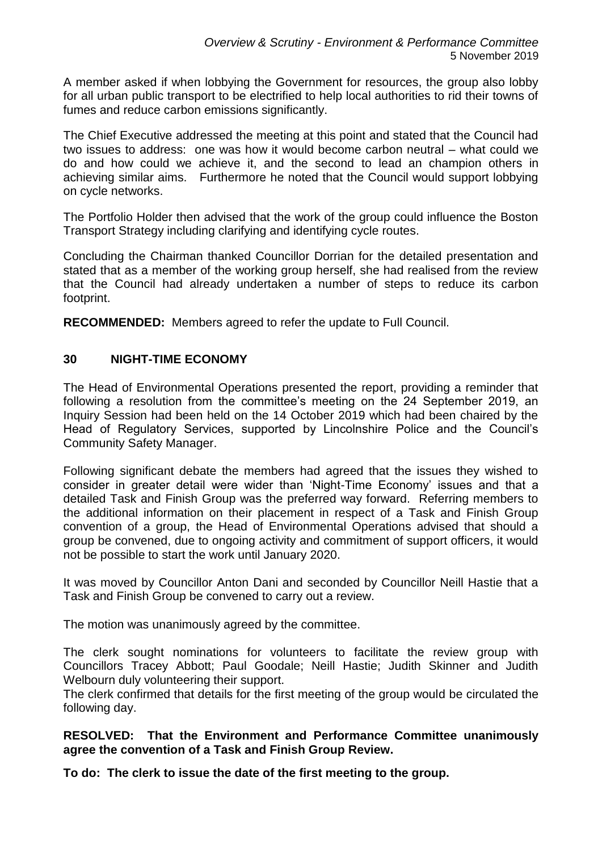A member asked if when lobbying the Government for resources, the group also lobby for all urban public transport to be electrified to help local authorities to rid their towns of fumes and reduce carbon emissions significantly.

The Chief Executive addressed the meeting at this point and stated that the Council had two issues to address: one was how it would become carbon neutral – what could we do and how could we achieve it, and the second to lead an champion others in achieving similar aims. Furthermore he noted that the Council would support lobbying on cycle networks.

The Portfolio Holder then advised that the work of the group could influence the Boston Transport Strategy including clarifying and identifying cycle routes.

Concluding the Chairman thanked Councillor Dorrian for the detailed presentation and stated that as a member of the working group herself, she had realised from the review that the Council had already undertaken a number of steps to reduce its carbon footprint.

**RECOMMENDED:** Members agreed to refer the update to Full Council.

#### **30 NIGHT-TIME ECONOMY**

The Head of Environmental Operations presented the report, providing a reminder that following a resolution from the committee's meeting on the 24 September 2019, an Inquiry Session had been held on the 14 October 2019 which had been chaired by the Head of Regulatory Services, supported by Lincolnshire Police and the Council's Community Safety Manager.

Following significant debate the members had agreed that the issues they wished to consider in greater detail were wider than 'Night-Time Economy' issues and that a detailed Task and Finish Group was the preferred way forward. Referring members to the additional information on their placement in respect of a Task and Finish Group convention of a group, the Head of Environmental Operations advised that should a group be convened, due to ongoing activity and commitment of support officers, it would not be possible to start the work until January 2020.

It was moved by Councillor Anton Dani and seconded by Councillor Neill Hastie that a Task and Finish Group be convened to carry out a review.

The motion was unanimously agreed by the committee.

The clerk sought nominations for volunteers to facilitate the review group with Councillors Tracey Abbott; Paul Goodale; Neill Hastie; Judith Skinner and Judith Welbourn duly volunteering their support.

The clerk confirmed that details for the first meeting of the group would be circulated the following day.

**RESOLVED: That the Environment and Performance Committee unanimously agree the convention of a Task and Finish Group Review.**

**To do: The clerk to issue the date of the first meeting to the group.**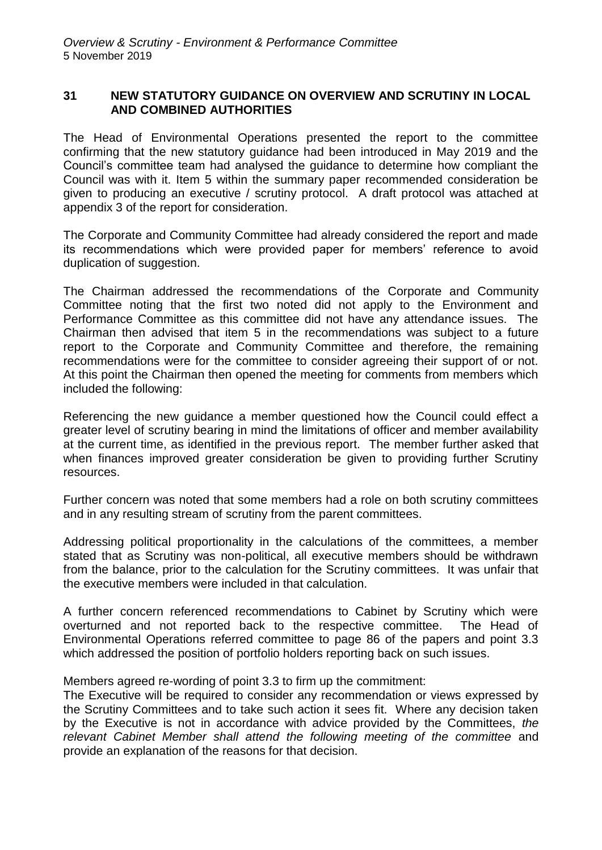### **31 NEW STATUTORY GUIDANCE ON OVERVIEW AND SCRUTINY IN LOCAL AND COMBINED AUTHORITIES**

The Head of Environmental Operations presented the report to the committee confirming that the new statutory guidance had been introduced in May 2019 and the Council's committee team had analysed the guidance to determine how compliant the Council was with it. Item 5 within the summary paper recommended consideration be given to producing an executive / scrutiny protocol. A draft protocol was attached at appendix 3 of the report for consideration.

The Corporate and Community Committee had already considered the report and made its recommendations which were provided paper for members' reference to avoid duplication of suggestion.

The Chairman addressed the recommendations of the Corporate and Community Committee noting that the first two noted did not apply to the Environment and Performance Committee as this committee did not have any attendance issues. The Chairman then advised that item 5 in the recommendations was subject to a future report to the Corporate and Community Committee and therefore, the remaining recommendations were for the committee to consider agreeing their support of or not. At this point the Chairman then opened the meeting for comments from members which included the following:

Referencing the new guidance a member questioned how the Council could effect a greater level of scrutiny bearing in mind the limitations of officer and member availability at the current time, as identified in the previous report. The member further asked that when finances improved greater consideration be given to providing further Scrutiny resources.

Further concern was noted that some members had a role on both scrutiny committees and in any resulting stream of scrutiny from the parent committees.

Addressing political proportionality in the calculations of the committees, a member stated that as Scrutiny was non-political, all executive members should be withdrawn from the balance, prior to the calculation for the Scrutiny committees. It was unfair that the executive members were included in that calculation.

A further concern referenced recommendations to Cabinet by Scrutiny which were overturned and not reported back to the respective committee. The Head of Environmental Operations referred committee to page 86 of the papers and point 3.3 which addressed the position of portfolio holders reporting back on such issues.

Members agreed re-wording of point 3.3 to firm up the commitment:

The Executive will be required to consider any recommendation or views expressed by the Scrutiny Committees and to take such action it sees fit. Where any decision taken by the Executive is not in accordance with advice provided by the Committees, *the relevant Cabinet Member shall attend the following meeting of the committee* and provide an explanation of the reasons for that decision.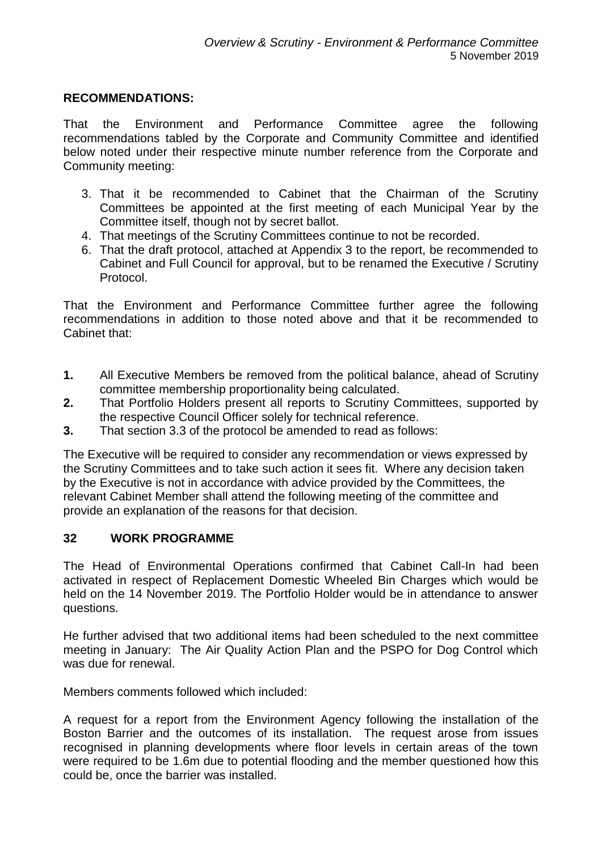### **RECOMMENDATIONS:**

That the Environment and Performance Committee agree the following recommendations tabled by the Corporate and Community Committee and identified below noted under their respective minute number reference from the Corporate and Community meeting:

- 3. That it be recommended to Cabinet that the Chairman of the Scrutiny Committees be appointed at the first meeting of each Municipal Year by the Committee itself, though not by secret ballot.
- 4. That meetings of the Scrutiny Committees continue to not be recorded.
- 6. That the draft protocol, attached at Appendix 3 to the report, be recommended to Cabinet and Full Council for approval, but to be renamed the Executive / Scrutiny Protocol.

That the Environment and Performance Committee further agree the following recommendations in addition to those noted above and that it be recommended to Cabinet that:

- **1.** All Executive Members be removed from the political balance, ahead of Scrutiny committee membership proportionality being calculated.
- **2.** That Portfolio Holders present all reports to Scrutiny Committees, supported by the respective Council Officer solely for technical reference.
- **3.** That section 3.3 of the protocol be amended to read as follows:

The Executive will be required to consider any recommendation or views expressed by the Scrutiny Committees and to take such action it sees fit. Where any decision taken by the Executive is not in accordance with advice provided by the Committees, the relevant Cabinet Member shall attend the following meeting of the committee and provide an explanation of the reasons for that decision.

### **32 WORK PROGRAMME**

The Head of Environmental Operations confirmed that Cabinet Call-In had been activated in respect of Replacement Domestic Wheeled Bin Charges which would be held on the 14 November 2019. The Portfolio Holder would be in attendance to answer questions.

He further advised that two additional items had been scheduled to the next committee meeting in January: The Air Quality Action Plan and the PSPO for Dog Control which was due for renewal.

Members comments followed which included:

A request for a report from the Environment Agency following the installation of the Boston Barrier and the outcomes of its installation. The request arose from issues recognised in planning developments where floor levels in certain areas of the town were required to be 1.6m due to potential flooding and the member questioned how this could be, once the barrier was installed.